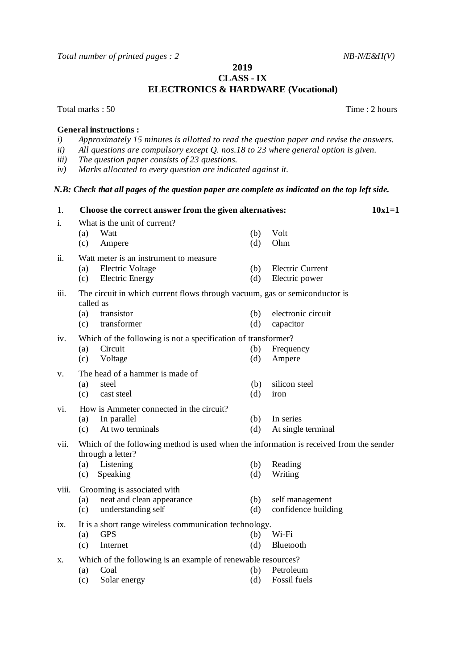*Total number of printed pages : 2 NB-N/E&H(V)* 

**CLASS - IX ELECTRONICS & HARDWARE (Vocational)**

Total marks : 50 Total marks : 50 Total marks : 50 Total marks : 50 Total marks : 50 Total marks : 50 Total marks : 50 Total marks : 50 Total marks : 50 Total marks : 50 Total marks : 50 Total marks : 50 Total marks : 50 T

## **General instructions :**

- *i) Approximately 15 minutes is allotted to read the question paper and revise the answers.*
- *ii) All questions are compulsory except Q. nos.18 to 23 where general option is given.*
- *iii) The question paper consists of 23 questions.*
- *iv) Marks allocated to every question are indicated against it.*

## *N.B: Check that all pages of the question paper are complete as indicated on the top left side.*

1. **Choose the correct answer from the given alternatives: 10x1=1** i. What is the unit of current?<br>(a) Watt (a) Watt (b) Volt (c) Ampere (d) Ohm ii. Watt meter is an instrument to measure (a) Electric Voltage (b) Electric Current (c) Electric Energy (d) Electric power iii. The circuit in which current flows through vacuum, gas or semiconductor is called as (a) transistor (b) electronic circuit (c) transformer (d) capacitor iv. Which of the following is not a specification of transformer? (a) Circuit (b) Frequency (c) Voltage (d) Ampere v. The head of a hammer is made of (a) steel (b) silicon steel (c) cast steel (d) iron vi. How is Ammeter connected in the circuit? (a) In parallel (b) In series (c) At two terminals (d) At single terminal vii. Which of the following method is used when the information is received from the sender through a letter? (a) Listening (b) Reading (c) Speaking (d) Writing viii. Grooming is associated with (a) neat and clean appearance (b) self management (c) understanding self (d) confidence building ix. It is a short range wireless communication technology. (a) GPS (b) Wi-Fi (c) Internet (d) Bluetooth x. Which of the following is an example of renewable resources? (a) Coal (b) Petroleum (c) Solar energy (d) Fossil fuels

**2019**